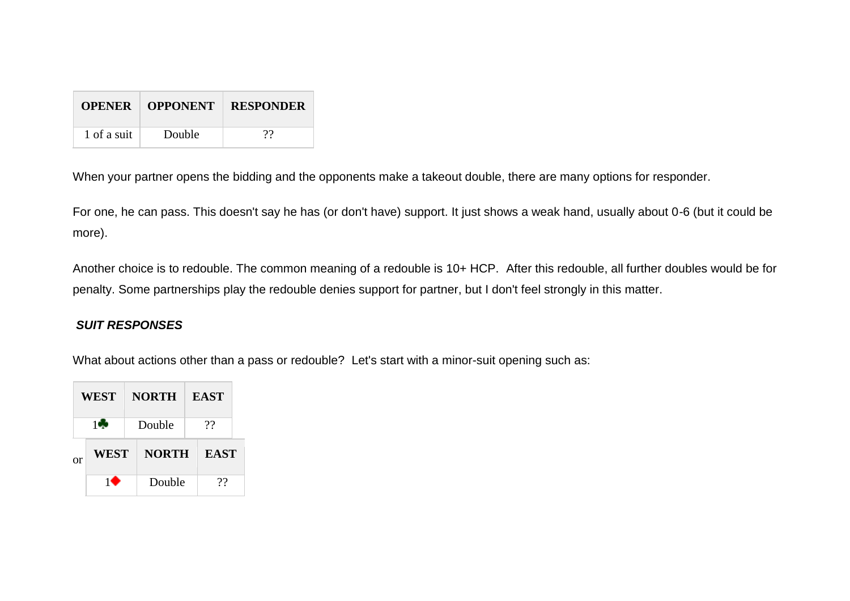|             | <b>OPENER   OPPONENT</b> | <b>RESPONDER</b> |
|-------------|--------------------------|------------------|
| 1 of a suit | Double                   | 99               |

When your partner opens the bidding and the opponents make a takeout double, there are many options for responder.

For one, he can pass. This doesn't say he has (or don't have) support. It just shows a weak hand, usually about 0-6 (but it could be more).

Another choice is to redouble. The common meaning of a redouble is 10+ HCP. After this redouble, all further doubles would be for penalty. Some partnerships play the redouble denies support for partner, but I don't feel strongly in this matter.

## *SUIT RESPONSES*

What about actions other than a pass or redouble? Let's start with a minor-suit opening such as:

|          | <b>WEST</b> |  | <b>NORTH</b> |    | <b>EAST</b> |  |
|----------|-------------|--|--------------|----|-------------|--|
|          | 10          |  | Double       | ?? |             |  |
| $\alpha$ | WEST        |  | <b>NORTH</b> |    | <b>EAST</b> |  |
|          | 10          |  | Double       |    | าา          |  |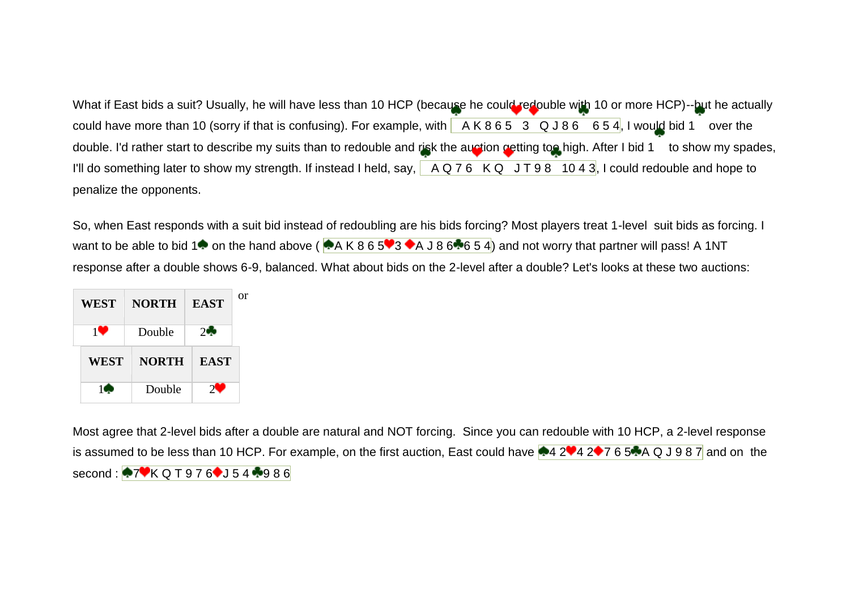What if East bids a suit? Usually, he will have less than 10 HCP (because he could redouble with 10 or more HCP)--but he actually could have more than 10 (sorry if that is confusing). For example, with  $A K 8 6 5 3 Q J 8 6 6 5 4$ , I would bid 1 over the double. I'd rather start to describe my suits than to redouble and risk the auction getting too high. After I bid 1 to show my spades, I'll do something later to show my strength. If instead I held, say,  $A Q 76 K Q J T 98 10 43$ , I could redouble and hope to penalize the opponents.

So, when East responds with a suit bid instead of redoubling are his bids forcing? Most players treat 1-level suit bids as forcing. I want to be able to bid 1<sup>t</sup> on the hand above ( $A K 8 6 5 3 4 A J 8 6 6 5 4$ ) and not worry that partner will pass! A 1NT response after a double shows 6-9, balanced. What about bids on the 2-level after a double? Let's looks at these two auctions:

| WEST        | <b>NORTH</b> | <b>EAST</b> | or |
|-------------|--------------|-------------|----|
| 10          | Double       | $2 -$       |    |
| <b>WEST</b> | <b>NORTH</b> | <b>EAST</b> |    |
|             | Double       | $\gamma$ .  |    |

Most agree that 2-level bids after a double are natural and NOT forcing. Since you can redouble with 10 HCP, a 2-level response is assumed to be less than 10 HCP. For example, on the first auction, East could have  $4242427654A$  Q J 9 8 7 and on the second:  $\sqrt{7}$ K Q T 9 7 6 J 5 4  $\sqrt{9}$  8 6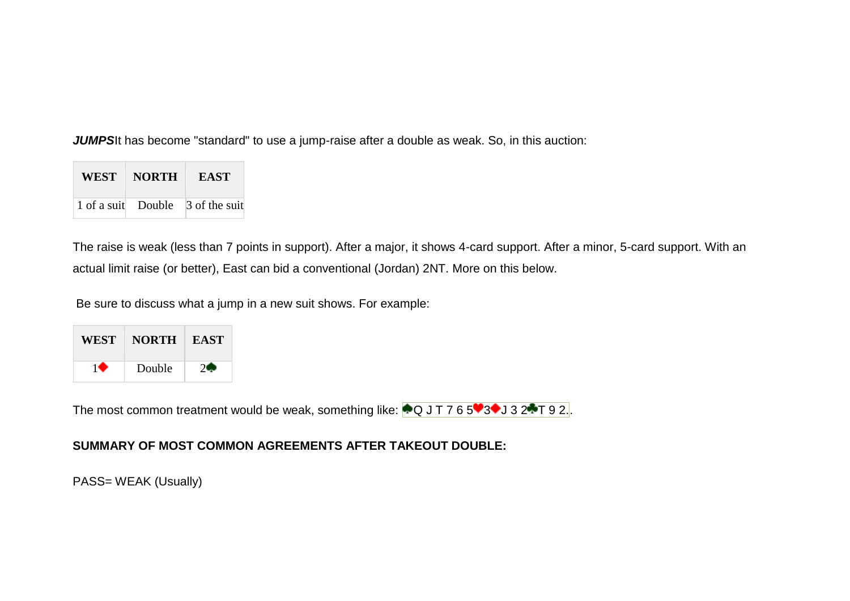**JUMPS**It has become "standard" to use a jump-raise after a double as weak. So, in this auction:

| WEST | <b>NORTH</b> | <b>EAST</b>                      |
|------|--------------|----------------------------------|
|      |              | 1 of a suit Double 3 of the suit |

The raise is weak (less than 7 points in support). After a major, it shows 4-card support. After a minor, 5-card support. With an actual limit raise (or better), East can bid a conventional (Jordan) 2NT. More on this below.

Be sure to discuss what a jump in a new suit shows. For example:

| WEST | <b>NORTH</b> | <b>EAST</b> |
|------|--------------|-------------|
|      | Double       |             |

The most common treatment would be weak, something like:  $\bigcirc$ Q J T 7 6 5 $\bigcirc$ 3 $\bigcirc$ J 3 2 $\bigcirc$ T 9 2.

## **SUMMARY OF MOST COMMON AGREEMENTS AFTER TAKEOUT DOUBLE:**

PASS= WEAK (Usually)